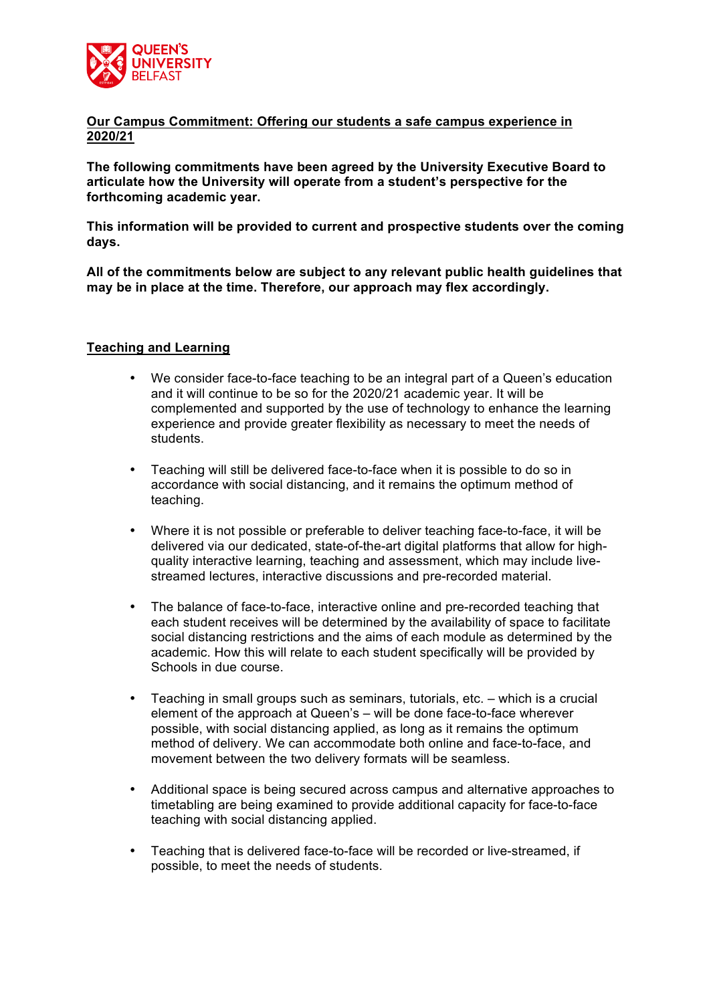

# **Our Campus Commitment: Offering our students a safe campus experience in 2020/21**

**The following commitments have been agreed by the University Executive Board to articulate how the University will operate from a student's perspective for the forthcoming academic year.**

**This information will be provided to current and prospective students over the coming days.**

**All of the commitments below are subject to any relevant public health guidelines that may be in place at the time. Therefore, our approach may flex accordingly.**

### **Teaching and Learning**

- We consider face-to-face teaching to be an integral part of a Queen's education and it will continue to be so for the 2020/21 academic year. It will be complemented and supported by the use of technology to enhance the learning experience and provide greater flexibility as necessary to meet the needs of students.
- Teaching will still be delivered face-to-face when it is possible to do so in accordance with social distancing, and it remains the optimum method of teaching.
- Where it is not possible or preferable to deliver teaching face-to-face, it will be delivered via our dedicated, state-of-the-art digital platforms that allow for highquality interactive learning, teaching and assessment, which may include livestreamed lectures, interactive discussions and pre-recorded material.
- The balance of face-to-face, interactive online and pre-recorded teaching that each student receives will be determined by the availability of space to facilitate social distancing restrictions and the aims of each module as determined by the academic. How this will relate to each student specifically will be provided by Schools in due course.
- Teaching in small groups such as seminars, tutorials, etc. which is a crucial element of the approach at Queen's – will be done face-to-face wherever possible, with social distancing applied, as long as it remains the optimum method of delivery. We can accommodate both online and face-to-face, and movement between the two delivery formats will be seamless.
- Additional space is being secured across campus and alternative approaches to timetabling are being examined to provide additional capacity for face-to-face teaching with social distancing applied.
- Teaching that is delivered face-to-face will be recorded or live-streamed, if possible, to meet the needs of students.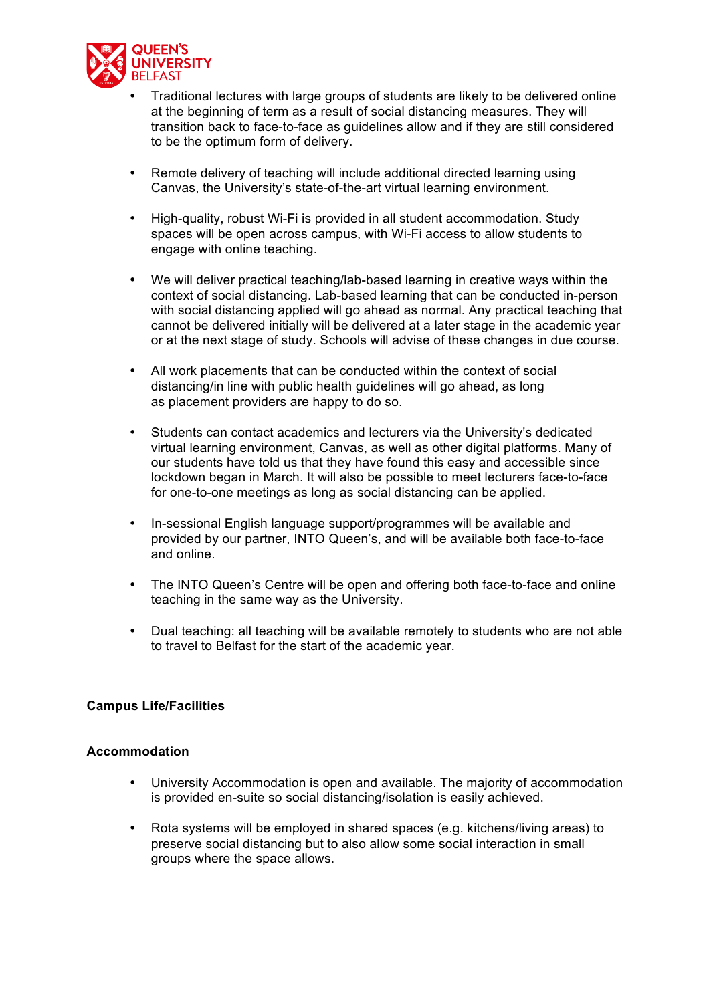

- Traditional lectures with large groups of students are likely to be delivered online at the beginning of term as a result of social distancing measures. They will transition back to face-to-face as guidelines allow and if they are still considered to be the optimum form of delivery.
- Remote delivery of teaching will include additional directed learning using Canvas, the University's state-of-the-art virtual learning environment.
- High-quality, robust Wi-Fi is provided in all student accommodation. Study spaces will be open across campus, with Wi-Fi access to allow students to engage with online teaching.
- We will deliver practical teaching/lab-based learning in creative ways within the context of social distancing. Lab-based learning that can be conducted in-person with social distancing applied will go ahead as normal. Any practical teaching that cannot be delivered initially will be delivered at a later stage in the academic year or at the next stage of study. Schools will advise of these changes in due course.
- All work placements that can be conducted within the context of social distancing/in line with public health guidelines will go ahead, as long as placement providers are happy to do so.
- Students can contact academics and lecturers via the University's dedicated virtual learning environment, Canvas, as well as other digital platforms. Many of our students have told us that they have found this easy and accessible since lockdown began in March. It will also be possible to meet lecturers face-to-face for one-to-one meetings as long as social distancing can be applied.
- In-sessional English language support/programmes will be available and provided by our partner, INTO Queen's, and will be available both face-to-face and online.
- The INTO Queen's Centre will be open and offering both face-to-face and online teaching in the same way as the University.
- Dual teaching: all teaching will be available remotely to students who are not able to travel to Belfast for the start of the academic year.

# **Campus Life/Facilities**

# **Accommodation**

- University Accommodation is open and available. The majority of accommodation is provided en-suite so social distancing/isolation is easily achieved.
- Rota systems will be employed in shared spaces (e.g. kitchens/living areas) to preserve social distancing but to also allow some social interaction in small groups where the space allows.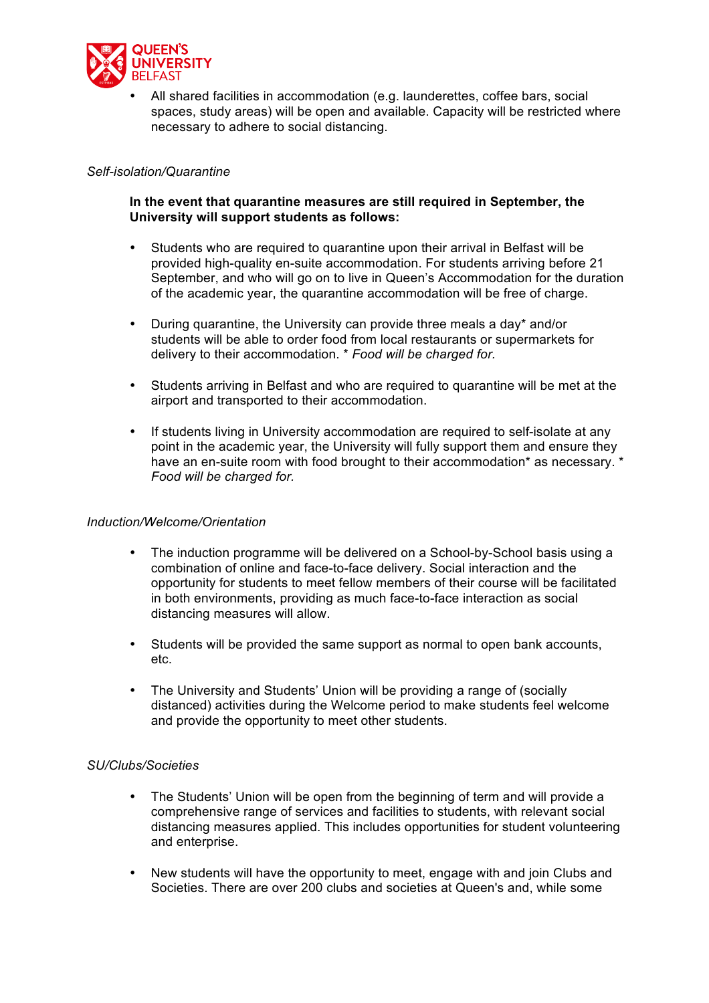

• All shared facilities in accommodation (e.g. launderettes, coffee bars, social spaces, study areas) will be open and available. Capacity will be restricted where necessary to adhere to social distancing.

### *Self-isolation/Quarantine*

# **In the event that quarantine measures are still required in September, the University will support students as follows:**

- Students who are required to quarantine upon their arrival in Belfast will be provided high-quality en-suite accommodation. For students arriving before 21 September, and who will go on to live in Queen's Accommodation for the duration of the academic year, the quarantine accommodation will be free of charge.
- During quarantine, the University can provide three meals a day\* and/or students will be able to order food from local restaurants or supermarkets for delivery to their accommodation. \* *Food will be charged for.*
- Students arriving in Belfast and who are required to quarantine will be met at the airport and transported to their accommodation.
- If students living in University accommodation are required to self-isolate at any point in the academic year, the University will fully support them and ensure they have an en-suite room with food brought to their accommodation\* as necessary. \* *Food will be charged for.*

#### *Induction/Welcome/Orientation*

- The induction programme will be delivered on a School-by-School basis using a combination of online and face-to-face delivery. Social interaction and the opportunity for students to meet fellow members of their course will be facilitated in both environments, providing as much face-to-face interaction as social distancing measures will allow.
- Students will be provided the same support as normal to open bank accounts, etc.
- The University and Students' Union will be providing a range of (socially distanced) activities during the Welcome period to make students feel welcome and provide the opportunity to meet other students.

#### *SU/Clubs/Societies*

- The Students' Union will be open from the beginning of term and will provide a comprehensive range of services and facilities to students, with relevant social distancing measures applied. This includes opportunities for student volunteering and enterprise.
- New students will have the opportunity to meet, engage with and join Clubs and Societies. There are over 200 clubs and societies at Queen's and, while some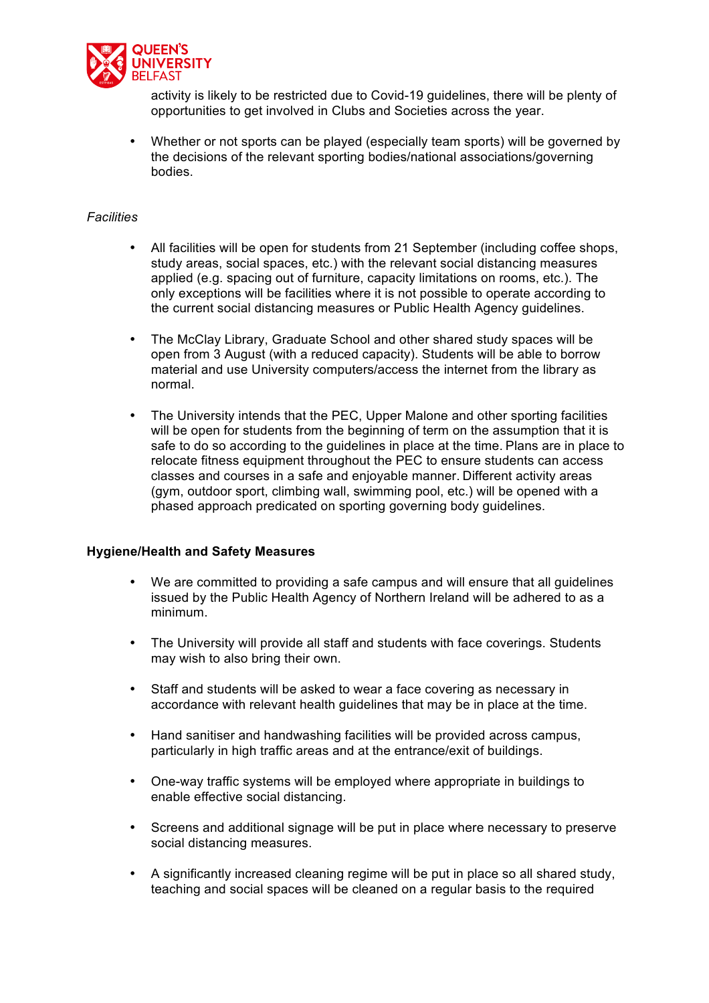

activity is likely to be restricted due to Covid-19 guidelines, there will be plenty of opportunities to get involved in Clubs and Societies across the year.  

• Whether or not sports can be played (especially team sports) will be governed by the decisions of the relevant sporting bodies/national associations/governing bodies.

### *Facilities*

- All facilities will be open for students from 21 September (including coffee shops, study areas, social spaces, etc.) with the relevant social distancing measures applied (e.g. spacing out of furniture, capacity limitations on rooms, etc.). The only exceptions will be facilities where it is not possible to operate according to the current social distancing measures or Public Health Agency guidelines.
- The McClay Library, Graduate School and other shared study spaces will be open from 3 August (with a reduced capacity). Students will be able to borrow material and use University computers/access the internet from the library as normal.
- The University intends that the PEC, Upper Malone and other sporting facilities will be open for students from the beginning of term on the assumption that it is safe to do so according to the guidelines in place at the time. Plans are in place to relocate fitness equipment throughout the PEC to ensure students can access classes and courses in a safe and enjoyable manner. Different activity areas (gym, outdoor sport, climbing wall, swimming pool, etc.) will be opened with a phased approach predicated on sporting governing body guidelines.

#### **Hygiene/Health and Safety Measures**

- We are committed to providing a safe campus and will ensure that all guidelines issued by the Public Health Agency of Northern Ireland will be adhered to as a minimum.
- The University will provide all staff and students with face coverings. Students may wish to also bring their own.
- Staff and students will be asked to wear a face covering as necessary in accordance with relevant health guidelines that may be in place at the time.
- Hand sanitiser and handwashing facilities will be provided across campus, particularly in high traffic areas and at the entrance/exit of buildings.
- One-way traffic systems will be employed where appropriate in buildings to enable effective social distancing.
- Screens and additional signage will be put in place where necessary to preserve social distancing measures.
- A significantly increased cleaning regime will be put in place so all shared study, teaching and social spaces will be cleaned on a regular basis to the required